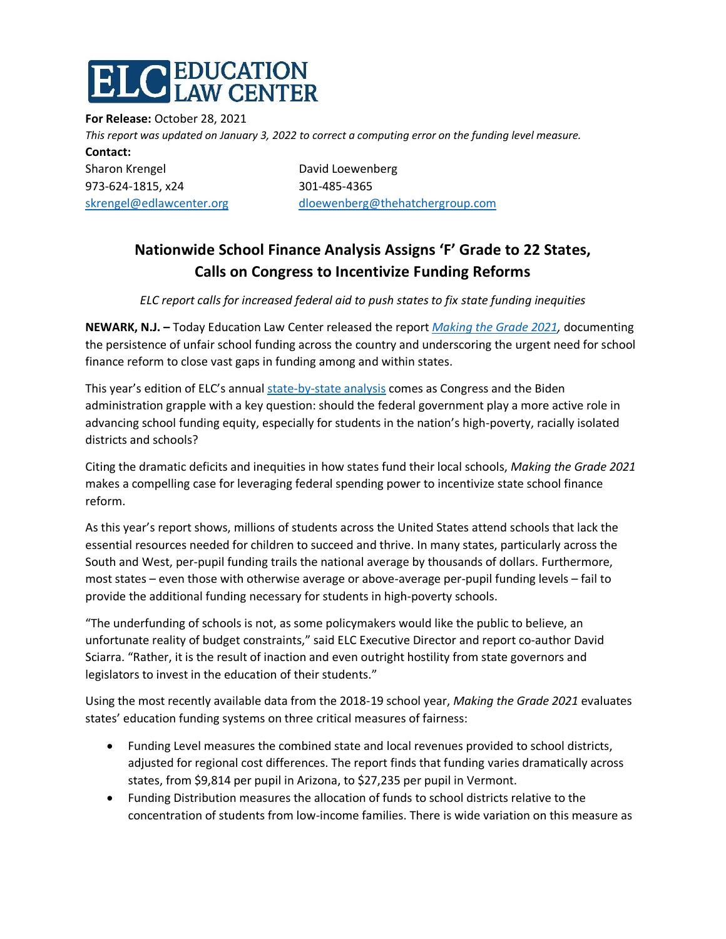## C EDUCATION<br>C LAW CENTER

**For Release:** October 28, 2021 *This report was updated on January 3, 2022 to correct a computing error on the funding level measure.* **Contact:**  Sharon Krengel **David Loewenberg** 973-624-1815, x24 301-485-4365 [skrengel@edlawcenter.org](mailto:skrengel@edlawcenter.org) [dloewenberg@thehatchergroup.com](mailto:dloewenberg@thehatchergroup.com)

## **Nationwide School Finance Analysis Assigns 'F' Grade to 22 States, Calls on Congress to Incentivize Funding Reforms**

*ELC report calls for increased federal aid to push states to fix state funding inequities* 

**NEWARK, N.J. –** Today Education Law Center released the report *[Making the Grade 2021,](https://edlawcenter.org/research/making-the-grade-2021.html)* documenting the persistence of unfair school funding across the country and underscoring the urgent need for school finance reform to close vast gaps in funding among and within states.

This year's edition of ELC's annua[l state-by-state analysis](https://edlawcenter.org/research/making-the-grade-2021-state-profiles.html) comes as Congress and the Biden administration grapple with a key question: should the federal government play a more active role in advancing school funding equity, especially for students in the nation's high-poverty, racially isolated districts and schools?

Citing the dramatic deficits and inequities in how states fund their local schools, *Making the Grade 2021* makes a compelling case for leveraging federal spending power to incentivize state school finance reform.

As this year's report shows, millions of students across the United States attend schools that lack the essential resources needed for children to succeed and thrive. In many states, particularly across the South and West, per-pupil funding trails the national average by thousands of dollars. Furthermore, most states – even those with otherwise average or above-average per-pupil funding levels – fail to provide the additional funding necessary for students in high-poverty schools.

"The underfunding of schools is not, as some policymakers would like the public to believe, an unfortunate reality of budget constraints," said ELC Executive Director and report co-author David Sciarra. "Rather, it is the result of inaction and even outright hostility from state governors and legislators to invest in the education of their students."

Using the most recently available data from the 2018-19 school year, *Making the Grade 2021* evaluates states' education funding systems on three critical measures of fairness:

- Funding Level measures the combined state and local revenues provided to school districts, adjusted for regional cost differences. The report finds that funding varies dramatically across states, from \$9,814 per pupil in Arizona, to \$27,235 per pupil in Vermont.
- Funding Distribution measures the allocation of funds to school districts relative to the concentration of students from low-income families. There is wide variation on this measure as